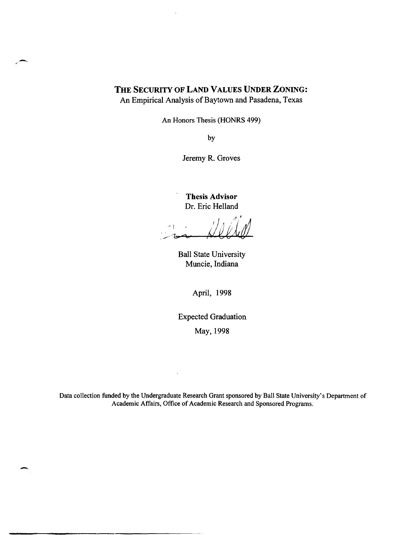## **THE SECURITY OF LAND VALUES UNDER ZONING:**

--

An Empirical Analysis of Baytown and Pasadena, Texas

An Honors Thesis (HONRS 499)

by

Jeremy R. Groves

**Thesis Advisor**  Dr. Eric Helland

 $-1-x$ 

Ball State University Muncie, Indiana

April, 1998

Expected Graduation

May, 1998

Data collection funded by the Undergraduate Research Grant sponsored by Ball State University's Department of Academic Affairs, Office of Academic Research and Sponsored Programs.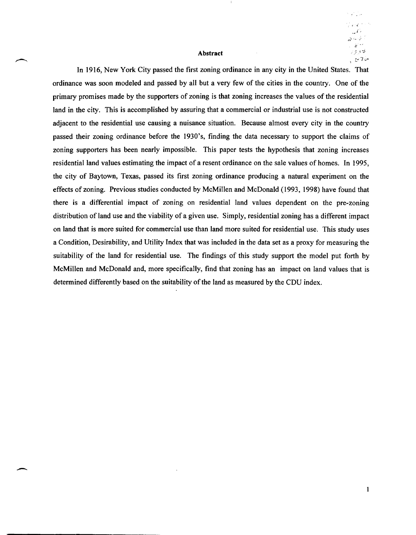#### Abstract

 $\alpha$  .

ှင့် စုံဗုံ ملأ7 مع ال

 $\mathbf{1}$ 

In 1916, New York City passed the first zoning ordinance in any city in the United States. That ordinance was soon modeled and passed by all but a very few of the cities in the country. One of the primary promises made by the supporters of zoning is that zoning increases the values of the residential land in the city. This is accomplished by assuring that a commercial or industrial use is not constructed adjacent to the residential use causing a nuisance situation. Because almost every city in the country passed their zoning ordinance before the 1930's, finding the data necessary to support the claims of zoning supporters has been nearly impossible. This paper tests the hypothesis that zoning increases residential land values estimating the impact of a resent ordinance on the sale values of homes. In 1995, the city of Baytown, Texas, passed its first zoning ordinance producing a natural experiment on the effects of zoning. Previous studies conducted by McMillen and McDonald (1993, 1998) have found that there is a differential impact of zoning on residential land values dependent on the pre-zoning distribution of land use and the viability of a given use. Simply, residential zoning has a different impact on land that is more suited for commercial use than land more suited for residential use. This study uses a Condition, Desirability, and Utility Index that was included in the data set as a proxy for measuring the suitability of the land for residential use. The findings of this study support the model put forth by McMillen and McDonald and, more specifically, find that zoning has an impact on land values that is determined differently based on the suitability of the land as measured by the CDU index.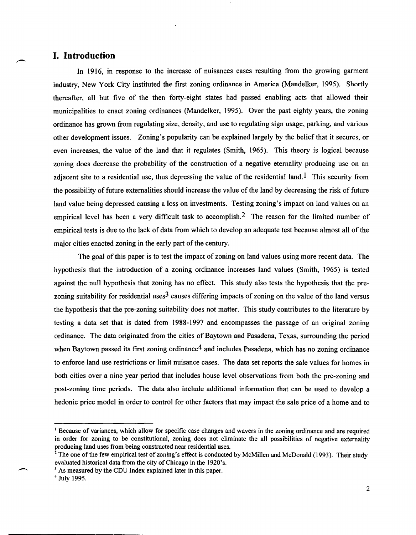## **I. Introduction**

.-

In 1916, in response to the increase of nuisances cases resulting from the growing garment industry, New York City instituted the first zoning ordinance in America (Mandelker, 1995). Shortly thereafter, all but five of the then forty-eight states had passed enabling acts that allowed their municipalities to enact zoning ordinances (Mandelker, 1995). Over the past eighty years, the zoning ordinance has grown from regulating size, density, and use to regulating sign usage, parking, and various other development issues. Zoning's popularity can be explained largely by the belief that it secures, or even increases, the value of the land that it regulates (Smith, 1965). This theory is logical because zoning does decrease the probability of the construction of a negative eternality producing use on an adiacent site to a residential use, thus depressing the value of the residential land.<sup>1</sup> This security from the possibility of future externalities should increase the value of the land by decreasing the risk of future land value being depressed causing a loss on investments. Testing zoning's impact on land values on an empirical level has been a very difficult task to accomplish.<sup>2</sup> The reason for the limited number of empirical tests is due to the lack of data from which to develop an adequate test because almost all of the major cities enacted zoning in the early part of the century.

The goal of this paper is to test the impact of zoning on land values using more recent data. The hypothesis that the introduction of a zoning ordinance increases land values (Smith, 1965) is tested against the null hypothesis that zoning has no effect. This study also tests the hypothesis that the prezoning suitability for residential uses<sup>3</sup> causes differing impacts of zoning on the value of the land versus the hypothesis that the pre-zoning suitability does not matter. This study contributes to the literature by testing a data set that is dated from 1988-1997 and encompasses the passage of an original zoning ordinance. The data originated from the cities of Baytown and Pasadena, Texas, surrounding the period when Baytown passed its first zoning ordinance<sup>4</sup> and includes Pasadena, which has no zoning ordinance to enforce land use restrictions or limit nuisance cases. The data set reports the sale values for homes in both cities over a nine year period that includes house level observations from both the pre-zoning and post-zoning time periods. The data also include additional information that can be used to develop a hedonic price model in order to control for other factors that may impact the sale price of a home and to

<sup>&</sup>lt;sup>1</sup> Because of variances, which allow for specific case changes and wavers in the zoning ordinance and are required in order for zoning to be constitutional, zoning does not eliminate the all possibilities of negative externality producing land uses from being constructed near residential uses.

<sup>&</sup>lt;sup>2</sup> The one of the few empirical test of zoning's effect is conducted by McMillen and McDonald (1993). Their study evaluated historical data from the city of Chicago in the 1920's.

<sup>&</sup>lt;sup>3</sup> As measured by the CDU Index explained later in this paper. 4 July 1995.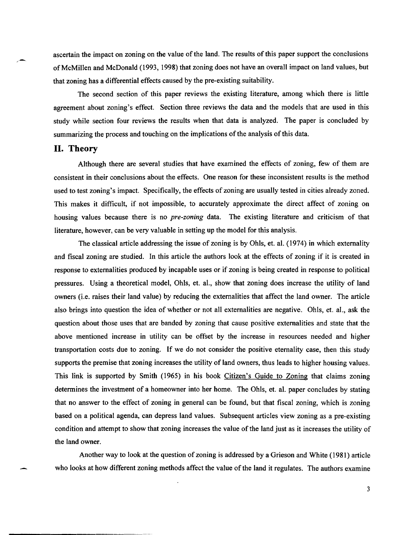ascertain the impact on zoning on the value of the land. The results of this paper support the conclusions of McMillen and McDonald (1993, 1998) that zoning does not have an overall impact on land values, but that zoning has a differential effects caused by the pre-existing suitability.

The second section of this paper reviews the existing literature, among which there is little agreement about zoning's effect. Section three reviews the data and the models that are used in this study while section four reviews the results when that data is analyzed. The paper is concluded by summarizing the process and touching on the implications of the analysis ofthis data.

## **II. Theory**

,-

Although there are several studies that have examined the effects of zoning, few of them are consistent in their conclusions about the effects. One reason for these inconsistent results is the method used to test zoning's impact. Specifically, the effects of zoning are usually tested in cities already zoned. This makes it difficult, if not impossible, to accurately approximate the direct affect of zoning on housing values because there is no *pre-zoning* data. The existing literature and criticism of that literature, however, can be very valuable in setting up the model for this analysis.

The classical article addressing the issue of zoning is by Ohls, et. ai. (1974) in which externality and fiscal zoning are studied. In this article the authors look at the effects of zoning if it is created in response to externalities produced by incapable uses or if zoning is being created in response to political pressures. Using a theoretical model, Ohls, et. aI., show that zoning does increase the utility of land owners (i.e. raises their land value) by reducing the externalities that affect the land owner. The article also brings into question the idea of whether or not all externalities are negative. Ohls, et. aI., ask the question about those uses that are banded by zoning that cause positive externalities and state that the above mentioned increase in utility can be offset by the increase in resources needed and higher transportation costs due to zoning. If we do not consider the positive eternality case, then this study supports the premise that zoning increases the utility of land owners, thus leads to higher housing values. This link is supported by Smith (1965) in his book *Citizen's Guide to Zoning that claims zoning* determines the investment of a homeowner into her home. The Ohls, et. al. paper concludes by stating that no answer to the effect of zoning in general can be found, but that fiscal zoning, which is zoning based on a political agenda, can depress land values. Subsequent articles view zoning as a pre-existing condition and attempt to show that zoning increases the value of the land just as it increases the utility of the land owner.

Another way to look at the question of zoning is addressed by a Grieson and White (1981) article who looks at how different zoning methods affect the value of the land it regulates. The authors examine

3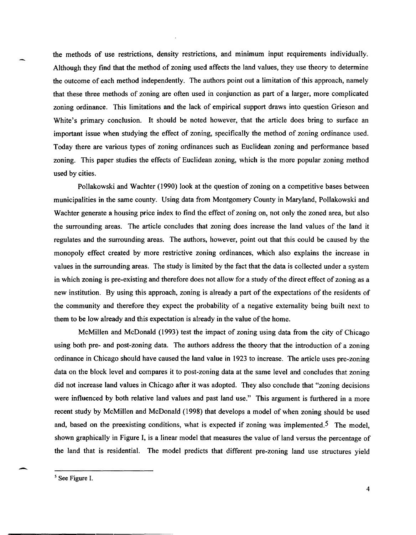the methods of use restrictions, density restrictions, and minimum input requirements individually. Although they find that the method of zoning used affects the land values, they use theory to determine the outcome of each method independently. The authors point out a limitation of this approach, namely that these three methods of zoning are often used in conjunction as part of a larger, more complicated zoning ordinance. This limitations and the lack of empirical support draws into question Grieson and White's primary conclusion. It should be noted however, that the article does bring to surface an important issue when studying the effect of zoning, specifically the method of zoning ordinance used. Today there are various types of zoning ordinances such as Euclidean zoning and performance based zoning. This paper studies the effects of Euclidean zoning, which is the more popular zoning method used by cities.

Pollakowski and Wachter (1990) look at the question of zoning on a competitive bases between municipalities in the same county. Using data from Montgomery County in Maryland, Pollakowski and Wachter generate a housing price index to find the effect of zoning on, not only the zoned area, but also the surrounding areas. The article concludes that zoning does increase the land values of the land it regulates and the surrounding areas. The authors, however, point out that this could be caused by the monopoly effect created by more restrictive zoning ordinances, which also explains the increase in values in the surrounding areas. The study is limited by the fact that the data is collected under a system in which zoning is pre-existing and therefore does not allow for a study of the direct effect of zoning as a new institution. By using this approach, zoning is already a part of the expectations of the residents of the community and therefore they expect the probability of a negative externality being built next to them to be low already and this expectation is already in the value of the home.

McMillen and McDonald (1993) test the impact of zoning using data from the city of Chicago using both pre- and post-zoning data. The authors address the theory that the introduction of a zoning ordinance in Chicago should have caused the land value in 1923 to increase. The article uses pre-zoning data on the block level and compares it to post-zoning data at the same level and concludes that zoning did not increase land values in Chicago after it was adopted. They also conclude that "zoning decisions were influenced by both relative land values and past land use." This argument is furthered in a more recent study by McMillen and McDonald (1998) that develops a model of when zoning should be used and, based on the preexisting conditions, what is expected if zoning was implemented.<sup>5</sup> The model, shown graphically in Figure I, is a linear model that measures the value of land versus the percentage of the land that is residential. The model predicts that different pre-zoning land use structures yield

<sup>5</sup> See Figure I.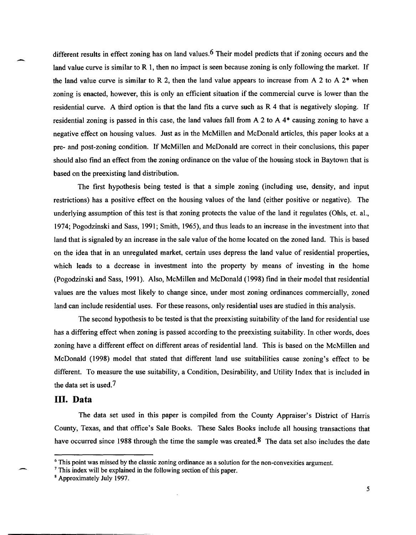different results in effect zoning has on land values.<sup>6</sup> Their model predicts that if zoning occurs and the land value curve is similar to R 1, then no impact is seen because zoning is only following the market. If the land value curve is similar to R 2, then the land value appears to increase from A 2 to A  $2^*$  when zoning is enacted, however, this is only an efficient situation if the commercial curve is lower than the residential curve. A third option is that the land fits a curve such as  $R$  4 that is negatively sloping. If residential zoning is passed in this case, the land values fall from A 2 to A 4\* causing zoning to have a negative effect on housing values. Just as in the McMillen and McDonald articles, this paper looks at a pre- and post-zoning condition. If McMillen and McDonald are correct in their conclusions, this paper should also find an effect from the zoning ordinance on the value of the housing stock in Baytown that is based on the preexisting land distribution.

> The first hypothesis being tested is that a simple zoning (including use, density, and input restrictions) has a positive effect on the housing values of the land (either positive or negative). The underlying assumption of this test is that zoning protects the value of the land it regulates (Ohls, et. aI., 1974; Pogodzinski and Sass, 1991; Smith, 1965), and thus leads to an increase in the investment into that land that is signaled by an increase in the sale value of the home located on the zoned land. This is based on the idea that in an unregulated market, certain uses depress the land value of residential properties, which leads to a decrease in investment into the property by means of investing in the home (Pogodzinski and Sass, 1991). Also, McMillen and McDonald (1998) find in their model that residential values are the values most likely to change since, under most zoning ordinances commercially, zoned land can include residential uses. For these reasons, only residential uses are studied in this analysis.

> The second hypothesis to be tested is that the preexisting suitability of the land for residential use has a differing effect when zoning is passed according to the preexisting suitability. In other words, does zoning have a different effect on different areas of residential land. This is based on the McMillen and McDonald (1998) model that stated that different land use suitabilities cause zoning's effect to be different. To measure the use suitability, a Condition, Desirability, and Utility Index that is included in the data set is used.<sup>7</sup>

## **III. Data**

The data set used in this paper is compiled from the County Appraiser's District of Harris County, Texas, and that office's Sale Books. These Sales Books include all housing transactions that have occurred since 1988 through the time the sample was created.<sup>8</sup> The data set also includes the date

<sup>&</sup>lt;sup>6</sup> This point was missed by the classic zoning ordinance as a solution for the non-convexities argument.

<sup>7</sup>This index will be explained in the following section of this paper.

<sup>8</sup> Approximately July 1997.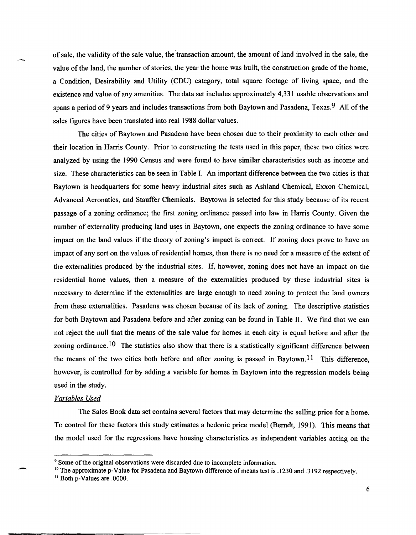of sale, the validity of the sale value, the transaction amount, the amount of land involved in the sale, the value of the land, the number of stories, the year the home was built, the construction grade of the home, a Condition, Desirability and Utility (CDU) category, total square footage of living space, and the existence and value of any amenities. The data set includes approximately 4,331 usable observations and spans a period of 9 years and includes transactions from both Baytown and Pasadena, Texas.<sup>9</sup> All of the sales figures have been translated into real 1988 dollar values.

The cities of Baytown and Pasadena have been chosen due to their proximity to each other and their location in Harris County. Prior to constructing the tests used in this paper, these two cities were analyzed by using the 1990 Census and were found to have similar characteristics such as income and size. These characteristics can be seen in Table I. An important difference between the two cities is that Baytown is headquarters for some heavy industrial sites such as Ashland Chemical, Exxon Chemical, Advanced Aeronatics, and Stauffer Chemicals. Baytown is selected for this study because of its recent passage of a zoning ordinance; the first zoning ordinance passed into law in Harris County. Given the number of externality producing land uses in Baytown, one expects the zoning ordinance to have some impact on the land values if the theory of zoning's impact is correct. If zoning does prove to have an impact of any sort on the values of residential homes, then there is no need for a measure of the extent of the externalities produced by the industrial sites. If, however, zoning does not have an impact on the residential home values, then a measure of the externalities produced by these industrial sites is necessary to determine if the externalities are large enough to need zoning to protect the land owners from these externalities. Pasadena was chosen because of its lack of zoning. The descriptive statistics for both Baytown and Pasadena before and after zoning can be found in Table II. We find that we can not reject the null that the means of the sale value for homes in each city is equal before and after the zoning ordinance.<sup>10</sup> The statistics also show that there is a statistically significant difference between the means of the two cities both before and after zoning is passed in Baytown.<sup>11</sup> This difference, however, is controlled for by adding a variable for homes in Baytown into the regression models being used in the study.

#### *Variables Used*

-

The Sales Book data set contains several factors that may determine the selling price for a home. To control for these factors this study estimates a hedonic price model (Berndt, 1991). This means that the model used for the regressions have housing characteristics as independent variables acting on the

<sup>&</sup>lt;sup>9</sup> Some of the original observations were discarded due to incomplete information.

<sup>&</sup>lt;sup>10</sup> The approximate p-Value for Pasadena and Baytown difference of means test is .1230 and .3192 respectively.

II Both p-Values are .0000.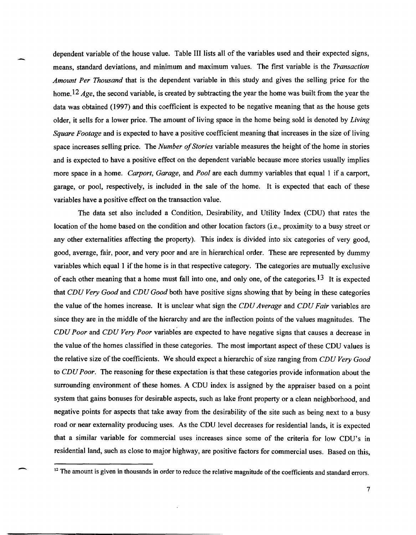dependent variable of the house value. Table III lists all of the variables used and their expected signs, means, standard deviations, and minimum and maximum values. The first variable is the *Transaction Amount Per Thousand* that is the dependent variable in this study and gives the selling price for the home. <sup>12</sup> *Age*, the second variable, is created by subtracting the year the home was built from the year the data was obtained (1997) and this coefficient is expected to be negative meaning that as the house gets older, it sells for a lower price. The amount of living space in the home being sold is denoted by *Living Square Footage* and is expected to have a positive coefficient meaning that increases in the size of living space increases selling price. The *Number of Stories* variable measures the height of the home in stories and is expected to have a positive effect on the dependent variable because more stories usually implies more space in a home. *Carport, Garage,* and *Pool* are each dummy variables that equal 1 if a carport, garage, or pool, respectively, is included in the sale of the home. It is expected that each of these variables have a positive effect on the transaction value.

The data set also included a Condition, Desirability, and Utility Index (CDU) that rates the location of the home based on the condition and other location factors (i.e., proximity to a busy street or any other externalities affecting the property). This index is divided into six categories of very good, good, average, fair, poor, and very poor and are in hierarchical order. These are represented by dummy variables which equal 1 if the home is in that respective category. The categories are mutually exclusive of each other meaning that a home must fall into one, and only one, of the categories. <sup>13</sup> It is expected that *CDU Very Good* and *CDU Good* both have positive signs showing that by being in these categories the value of the homes increase. It is unclear what sign the *CDU Average* and *CDU Fair* variables are since they are in the middle of the hierarchy and are the inflection points of the values magnitudes. The *CDU Poor* and *CDU Very Poor* variables are expected to have negative signs that causes a decrease in the value of the homes classified in these categories. The most important aspect of these CDU values is the relative size of the coefficients. We should expect a hierarchic of size ranging from *CDU Very Good*  to *CDU Poor.* The reasoning for these expectation is that these categories provide information about the surrounding environment of these homes. A CDU index is assigned by the appraiser based on a point system that gains bonuses for desirable aspects, such as lake front property or a clean neighborhood, and negative points for aspects that take away from the desirability of the site such as being next to a busy road or near externality producing uses. As the CDU level decreases for residential lands, it is expected that a similar variable for commercial uses increases since some of the criteria for low CDU's in residential land, such as close to major highway, are positive factors for commercial uses. Based on this,

-

-----------------,-----------------------------------

<sup>&</sup>lt;sup>12</sup> The amount is given in thousands in order to reduce the relative magnitude of the coefficients and standard errors.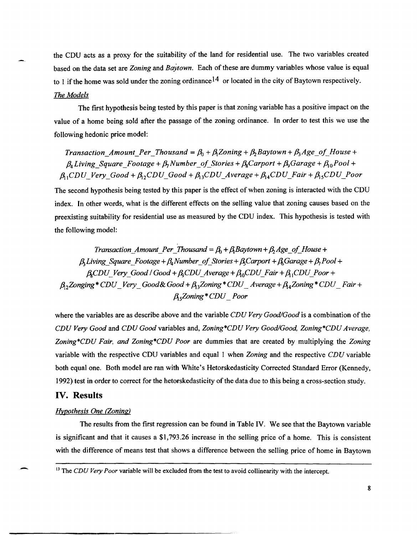the CDU acts as a proxy for the suitability of the land for residential use. The two variables created based on the data set are *Zoning* and *BaYtown.* Each of these are dummy variables whose value is equal to 1 if the home was sold under the zoning ordinance<sup>14</sup> or located in the city of Baytown respectively. *The Models* 

The first hypothesis being tested by this paper is that zoning variable has a positive impact on the value of a home being sold after the passage of the zoning ordinance. In order to test this we use the following hedonic price model:

*Transaction\_Amount\_Per\_Thousand =*  $\beta_0 + \beta_1 Z$ *oning +*  $\beta_2 B$ *aytown +*  $\beta_3 A$ *ge\_of\_House +*  $\beta_4$ *Living Square\_Footage +*  $\beta_7$ *Number\_of\_Stories +*  $\beta_8$ *Carport +*  $\beta_9$ *Garage +*  $\beta_{10}$ *Pool +*  $\beta_{11} CDU\_Very\_Good + \beta_{12} CDU\_Good + \beta_{13} CDU\_Average + \beta_{14} CDU\_Fair + \beta_{15} CDU\_ Poor$ 

The second hypothesis being tested by this paper is the effect of when zoning is interacted with the CDU index. In other words, what is the different effects on the selling value that zoning causes based on the preexisting suitability for residential use as measured by the CDU index. This hypothesis is tested with the following model:

*Transaction Amount Per Thousand =*  $\beta_0$  *+*  $\beta_1$  *Baytown +*  $\beta_2$  *Age of House +*  $\beta_1$ *Living Square Footage* +  $\beta_4$ *Number of Stories* +  $\beta_5$ *Carport* +  $\beta_6$ *Garage* +  $\beta_7$ *Pool* +  $\beta$ <sub>s</sub>CDU\_Very\_Good /  $Good + \beta$ <sub>s</sub>CDU\_Average +  $\beta$ <sub>0</sub>CDU\_Fair +  $\beta$ <sub>1</sub>CDU\_Poor +  $\beta_{12}$ Zonging \* CDU \_ Very \_ Good & Good +  $\beta_{13}$ Zoning \* CDU \_ Average +  $\beta_{14}$ Zoning \* CDU \_ Fair + *A5Zoning\*CDU \_Poor* 

where the variables are as describe above and the variable *CDU Very Good/Good* is a combination of the *CDU Very Good* and *CDU Good* variables and, *Zoning\*CDU Very Good/Good, Zoning \*CD U Average, Zoning\*CDU Fair, and Zoning\*CDU Poor* are dummies that are created by multiplying the *Zoning*  variable with the respective CDU variables and equal 1 when *Zoning* and the respective *CDU* variable both equal one. Both model are ran with White's Hetorskedasticity Corrected Standard Error (Kennedy, 1992) test in order to correct for the hetorskedasticity of the data due to this being a cross-section study.

### **IV. Results**

#### *Hypothesis One (Zoning)*

The results from the first regression can be found in Table IV. We see that the Baytown variable is significant and that it causes a \$1,793.26 increase in the selling price of a home. This is consistent with the difference of means test that shows a difference between the selling price of home in Baytown

<sup>&</sup>lt;sup>13</sup> The *CDU Very Poor* variable will be excluded from the test to avoid collinearity with the intercept.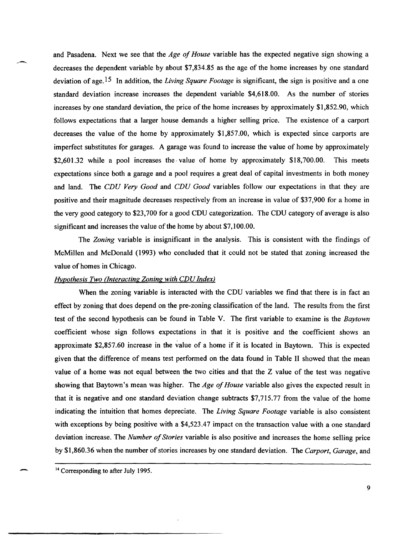and Pasadena. Next we see that the *Age of House* variable has the expected negative sign showing a decreases the dependent variable by about \$7,834.85 as the age of the home increases by one standard deviation of age. 15 In addition, the *Living Square Footage* is significant, the sign is positive and a one standard deviation increase increases the dependent variable \$4,618.00. As the number of stories increases by one standard deviation, the price of the home increases by approximately \$1,852.90, which follows expectations that a larger house demands a higher selling price. The existence of a carport decreases the value of the home by approximately \$1,857.00, which is expected since carports are imperfect substitutes for garages. A garage was found to increase the value of home by approximately \$2,601.32 while a pool increases the value of home by approximately \$18,700.00. This meets expectations since both a garage and a pool requires a great deal of capital investments in both money and land. The *CDU Very Good* and *CDU Good* variables follow our expectations in that they are positive and their magnitude decreases respectively from an increase in value of \$37,900 for a home in the very good category to \$23,700 for a good CDU categorization. The CDU category of average is also significant and increases the value of the home by about \$7,100.00.

The *Zoning* variable is insignificant in the analysis. This is consistent with the findings of McMillen and McDonald (1993) who concluded that it could not be stated that zoning increased the value of homes in Chicago.

#### *Hvpothesis Two (Interacting Zoning with CDU Index)*

When the zoning variable is interacted with the CDU variables we find that there is in fact an effect by zoning that does depend on the pre-zoning classification of the land. The results from the first test of the second hypothesis can be found in Table V. The first variable to examine is the *Baytown*  coefficient whose sign follows expectations in that it is positive and the coefficient shows an approximate \$2,857.60 increase in the value of a home if it is located in Baytown. This is expected given that the difference of means test performed on the data found in Table II showed that the mean value of a home was not equal between the two cities and that the Z value of the test was negative showing that Baytown's mean was higher. The *Age of House* variable also gives the expected result in that it is negative and one standard deviation change subtracts \$7,715.77 from the value of the home indicating the intuition that homes depreciate. The *Living Square Footage* variable is also consistent with exceptions by being positive with a \$4,523.47 impact on the transaction value with a one standard deviation increase. The *Number of Stories* variable is also positive and increases the home selling price by \$1,860.36 when the number of stories increases by one standard deviation. The *Carport, Garage,* and

---------------------------------------------------

<sup>&</sup>lt;sup>14</sup> Corresponding to after July 1995.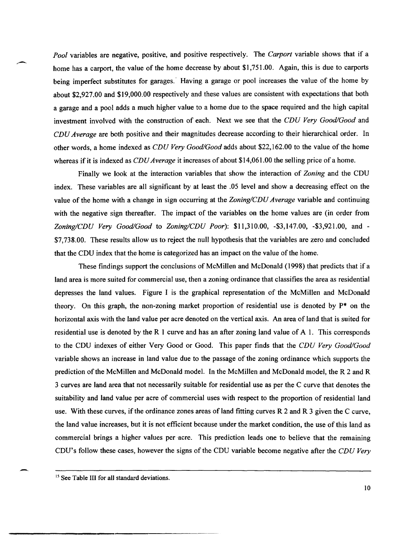*Pool* variables are negative, positive, and positive respectively. The *Carport* variable shows that if a home has a carport, the value of the home decrease by about \$1,751.00. Again, this is due to carports being imperfect substitutes for garages.' Having a garage or pool increases the value of the home by about \$2,927.00 and \$19,000.00 respectively and these values are consistent with expectations that both a garage and a pool adds a much higher value to a home due to the space required and the high capital investment involved with the construction of each. Next we see that the *CDU Very Good/Good* and *CDU Average* are both positive and their magnitudes decrease according to their hierarchical order. In other words, a home indexed as *CDU Very Good/Good* adds about \$22,162.00 to the value of the home whereas if it is indexed as *CDU Average* it increases of about \$14,061.00 the selling price of a home.

Finally we look at the interaction variables that show the interaction of *Zoning* and the CDU index. These variables are all significant by at least the .05 level and show a decreasing effect on the value of the home with a change in sign occurring at the *Zoning/CDU Average* variable and continuing with the negative sign thereafter. The impact of the variables on the home values are (in order from *ZoninglCDU Very Good/Good* to *ZoninglCDU Poor):* \$11,310.00, -\$3,147.00, -\$3,921.00, and - \$7,738.00. These results allow us to reject the null hypothesis that the variables are zero and concluded that the CDU index that the home is categorized has an impact on the value of the home.

These findings support the conclusions of McMillen and McDonald (1998) that predicts that if a land area is more suited for commercial use, then a zoning ordinance that classifies the area as residential depresses the land values. Figure I is the graphical representation of the McMillen and McDonald theory. On this graph, the non-zoning market proportion of residential use is denoted by p\* on the horizontal axis with the land value per acre denoted on the vertical axis. An area of land that is suited for residential use is denoted by the R I curve and has an after zoning land value of A 1. This corresponds to the CDU indexes of either Very Good or Good. This paper finds that the *CDU Very Good/Good*  variable shows an increase in land value due to the passage of the zoning ordinance which supports the prediction of the McMillen and McDonald model. In the McMillen and McDonald model, the R 2 and R 3 curves are land area that not necessarily suitable for residential use as per the C curve that denotes the suitability and land value per acre of commercial uses with respect to the proportion of residential land use. With these curves, if the ordinance zones areas of land fitting curves R 2 and R 3 given the C curve, the land value increases, but it is not efficient because under the market condition, the use of this land as commercial brings a higher values per acre. This prediction leads one to believe that the remaining CDU's follow these cases, however the signs of the CDU variable become negative after the *CDU Very* 

--

<sup>&</sup>lt;sup>15</sup> See Table III for all standard deviations.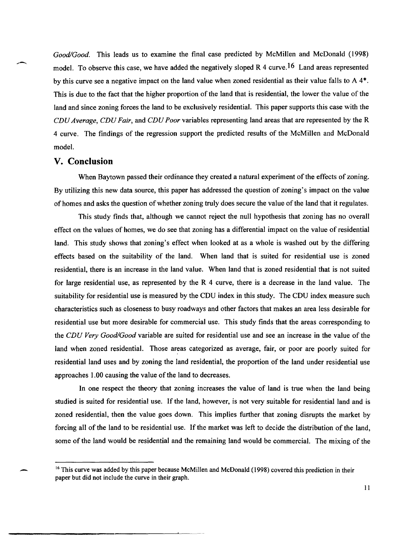*Good/Good.* This leads us to examine the final case predicted by McMillen and McDonald (1998) model. To observe this case, we have added the negatively sloped R 4 curve.<sup>16</sup> Land areas represented by this curve see a negative impact on the land value when zoned residential as their value falls to  $A$  4 $*$ . This is due to the fact that the higher proportion of the land that is residential, the lower the value of the land and since zoning forces the land to be exclusively residential. This paper supports this case with the *CDU Average, CDU Fair,* and *CDU Poor* variables representing land areas that are represented by the R 4 curve. The findings of the regression support the predicted results of the McMillen and McDonald model.

## **V. Conclusion**

When Baytown passed their ordinance they created a natural experiment of the effects of zoning. By utilizing this new data source, this paper has addressed the question of zoning's impact on the value of homes and asks the question of whether zoning truly does secure the value of the land that it regulates.

This study finds that, although we cannot reject the null hypothesis that zoning has no overall effect on the values of homes, we do see that zoning has a differential impact on the value of residential land. This study shows that zoning's effect when looked at as a whole is washed out by the differing effects based on the suitability of the land. When land that is suited for residential use is zoned residential, there is an increase in the land value. When land that is zoned residential that is not suited for large residential use, as represented by the R 4 curve, there is a decrease in the land value. The suitability for residential use is measured by the CDU index in this study. The CDU index measure such characteristics such as closeness to busy roadways and other factors that makes an area less desirable for residential use but more desirable for commercial use. This study finds that the areas corresponding to the *CDU Very Good/Good* variable are suited for residential use and see an increase in the value of the land when zoned residential. Those areas categorized as average, fair, or poor are poorly suited for residential land uses and by zoning the land residential, the proportion of the land under residential use approaches 1.00 causing the value of the land to decreases.

In one respect the theory that zoning increases the value of land is true when the land being studied is suited for residential use. If the land, however, is not very suitable for residential land and is zoned residential, then the value goes down. This implies further that zoning disrupts the market by forcing all of the land to be residential use. If the market was left to decide the distribution of the land, some of the land would be residential and the remaining land would be commercial. The mixing of the

<sup>&</sup>lt;sup>16</sup> This curve was added by this paper because McMillen and McDonald (1998) covered this prediction in their paper but did not include the curve in their graph.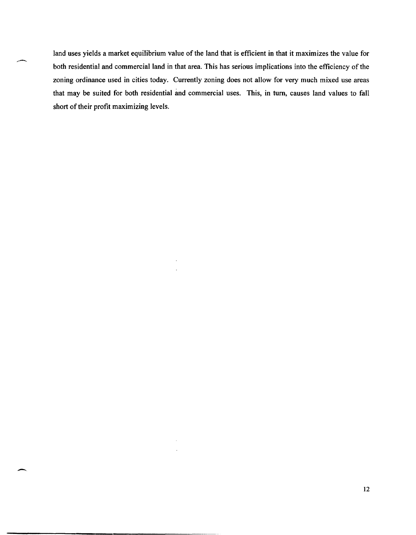land uses yields a market equilibrium value of the land that is efficient in that it maximizes the value for both residential and commercial land in that area. This has serious implications into the efficiency of the zoning ordinance used in cities today. Currently zoning does not allow for very much mixed use areas that may be suited for both residential and commercial uses. This, in turn, causes land values to fall short of their profit maximizing levels.

-

-----------------,--------------------------------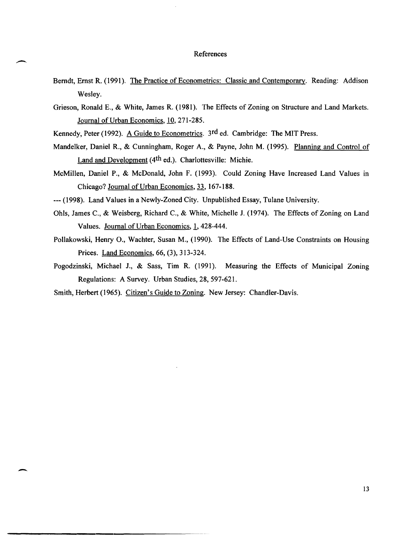#### References

- Berndt, Ernst R. (1991). The Practice of Econometrics: Classic and Contemporary. Reading: Addison Wesley.
- Grieson, Ronald E., & White, James R. (1981). The Effects of Zoning on Structure and Land Markets. Journal of Urban Economics, 10,271-285.
- Kennedy, Peter (1992). A Guide to Econometrics. 3rd ed. Cambridge: The MIT Press.

-

--

-------------------------------------------

- Mandelker, Daniel R., & Cunningham, Roger A., & Payne, John M. (1995). Planning and Control of Land and Development (4<sup>th</sup> ed.). Charlottesville: Michie.
- McMillen, Daniel P., & McDonald, John F. (1993). Could Zoning Have Increased Land Values in Chicago? Journal of Urban Economics, 33,167-188.
- --- (1998). Land Values in a Newly-Zoned City. Unpublished Essay, Tulane University.
- Ohls, James C., & Weisberg, Richard C., & White, Michelle J. (1974). The Effects of Zoning on Land Values. Journal of Urban Economics, 1, 428-444.
- Pollakowski, Henry 0., Wachter, Susan M., (1990). The Effects of Land-Use Constraints on Housing Prices. Land Economics, 66, (3), 313-324.
- Pogodzinski, Michael J., & Sass, Tim R. (1991). Measuring the Effects of Municipal Zoning Regulations: A Survey. Urban Studies, 28,597-621.
- Smith, Herbert (1965). Citizen's Guide to Zoning. New Jersey: Chandler-Davis.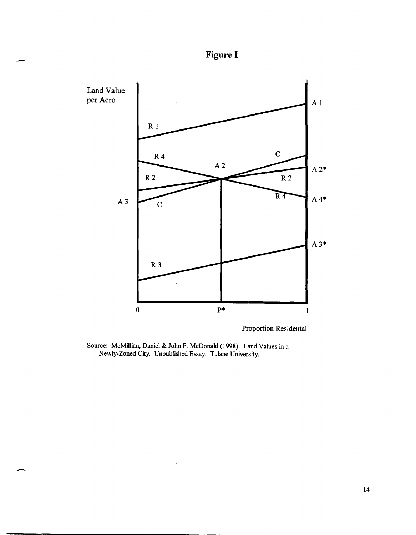

,-

 $\overline{\phantom{0}}$ 



Proportion Residental

Source: McMillian, Daniel & John F. McDonald (1998). Land Values in a Newly-Zoned City. Unpublished Essay. Tulane University.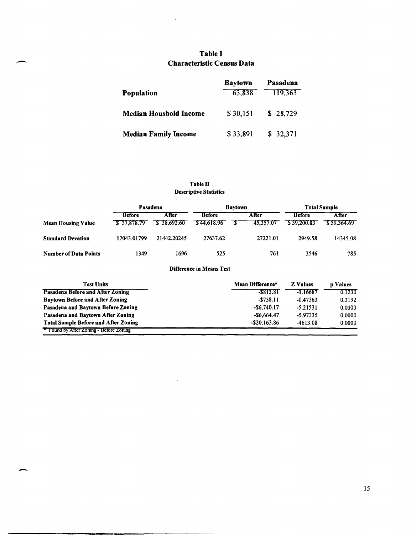## **Table I Characteristic Census Data**

 $\bar{\mathcal{L}}$ 

--

-

**-----------------------------------------------------**

|                               | <b>Baytown</b> | Pasadena |
|-------------------------------|----------------|----------|
| Population                    | 63,838         | 119,363  |
| <b>Median Houshold Income</b> | \$30,151       | \$28,729 |
| <b>Median Family Income</b>   | \$33,891       | \$32,371 |

## **Table II Descriptive Statistics**

 $\ddot{\phantom{a}}$ 

|                              | Pasadena      |             | <b>Baytown</b> |  | <b>Total Sample</b> |               |             |
|------------------------------|---------------|-------------|----------------|--|---------------------|---------------|-------------|
|                              | <b>Before</b> | After       | <b>Before</b>  |  | <b>After</b>        | <b>Before</b> | After       |
| <b>Mean Housing Value</b>    | \$37.878.79   | \$38.692.60 | \$44,618.96    |  | 45.357.07           | \$39,200.83   | \$59,364.69 |
| <b>Standard Devation</b>     | 17043.01799   | 21442.20245 | 27637.62       |  | 27221.01            | 2949.58       | 14345.08    |
| <b>Number of Data Points</b> | 1349          | 1696        | 525            |  | 761                 | 3546          | 785         |

#### **Difference in Means Test**

| <b>Test Units</b>                           | Mean Difference* | <b>Z</b> Values | <b>p</b> Values |
|---------------------------------------------|------------------|-----------------|-----------------|
| Pasadena Before and After Zoning            | -\$813.81        | $-1.16687$      | 0.1230          |
| <b>Baytown Before and After Zoning</b>      | $-5738.11$       | $-0.47363$      | 0.3192          |
| Pasadena and Baytown Before Zoning          | $-$ \$6,740.17   | $-5.21531$      | 0.0000          |
| Pasadena and Baytown After Zoning           | $-56.664.47$     | $-5.97335$      | 0.0000          |
| <b>Total Sample Before and After Zoning</b> | $-$ \$20,163.86  | $-4613.08$      | 0.0000          |
| Found by After Zoning - Before Zoning       |                  |                 |                 |

 $\mathcal{A}^{\mathcal{A}}$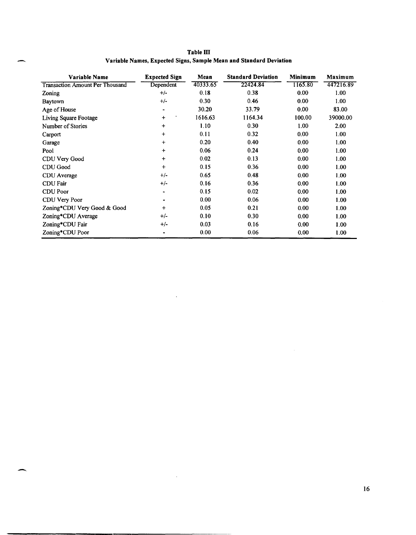|   | Table III                                                          |  |  |  |
|---|--------------------------------------------------------------------|--|--|--|
| 一 | Variable Names, Expected Signs, Sample Mean and Standard Deviation |  |  |  |

| Variable Name                          | <b>Expected Sign</b> | Mean     | <b>Standard Deviation</b> | <b>Minimum</b> | Maximum           |
|----------------------------------------|----------------------|----------|---------------------------|----------------|-------------------|
| <b>Transaction Amount Per Thousand</b> | Dependent            | 40333.65 | 22424.84                  | 1165.80        | 447216.89         |
| <b>Zoning</b>                          | $+/-$                | 0.18     | 0.38                      | 0.00           | 1.00              |
| Baytown                                | $+/-$                | 0.30     | 0.46                      | 0.00           | 1.00              |
| Age of House                           | $\blacksquare$       | 30.20    | 33.79                     | 0.00           | 83.00             |
| Living Square Footage                  | $\ddot{}$            | 1616.63  | 1164.34                   | 100.00         | 39000.00          |
| Number of Stories                      | $\ddag$              | 1.10     | 0.30                      | 1.00           | 2.00              |
| Carport                                | $\ddot{}$            | 0.11     | 0.32                      | 0.00           | 1.00 <sub>1</sub> |
| Garage                                 | $\ddot{}$            | 0.20     | 0.40                      | 0.00           | 1.00              |
| Pool                                   | $\ddot{}$            | 0.06     | 0.24                      | 0.00           | 1.00 <sub>1</sub> |
| CDU Very Good                          | $\ddag$              | 0.02     | 0.13                      | 0.00           | 1.00 <sub>1</sub> |
| CDU Good                               | $+$                  | 0.15     | 0.36                      | 0.00           | 1.00              |
| CDU Average                            | $+/-$                | 0.65     | 0.48                      | 0.00           | 1.00              |
| <b>CDU</b> Fair                        | $+/-$                | 0.16     | 0.36                      | 0.00           | 1.00 <sub>1</sub> |
| <b>CDU</b> Poor                        | $\bullet$            | 0.15     | 0.02                      | 0.00           | 1.00              |
| CDU Very Poor                          |                      | 0.00     | 0.06                      | 0.00           | 1.00              |
| Zoning*CDU Very Good & Good            | $\ddot{}$            | 0.05     | 0.21                      | 0.00           | 1.00              |
| Zoning*CDU Average                     | $+/-$                | 0.10     | 0.30                      | 0.00           | 1.00              |
| Zoning*CDU Fair                        | $+/-$                | 0.03     | 0.16                      | 0.00           | 1.00              |
| Zoning*CDU Poor                        |                      | 0.00     | 0.06                      | 0.00           | 1.00              |

 $\epsilon$ 

 $\hat{\mathcal{A}}$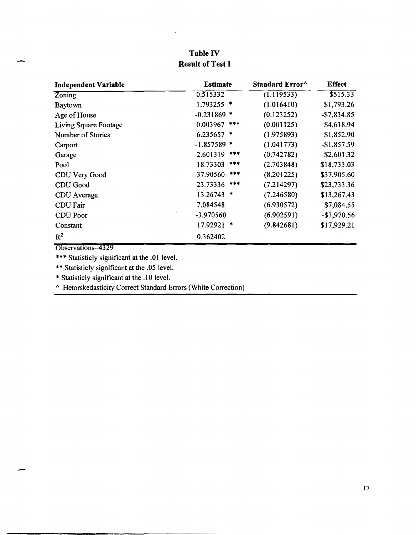| <b>Independent Variable</b> | <b>Estimate</b> | Standard Error^ | <b>Effect</b>  |
|-----------------------------|-----------------|-----------------|----------------|
| <b>Zoning</b>               | 0.515332        | (1.119533)      | \$515.33       |
| <b>Baytown</b>              | 1.793255 *      | (1.016410)      | \$1,793.26     |
| Age of House                | $-0.231869$ *   | (0.123252)      | $-$7,834.85$   |
| Living Square Footage       | 0.003967<br>*** | (0.001125)      | \$4,618.94     |
| Number of Stories           | $6.235657$ *    | (1.975893)      | \$1,852.90     |
| Carport                     | $-1.857589$ *   | (1.041773)      | $-$1,857.59$   |
| Garage                      | 2.601319<br>*** | (0.742782)      | \$2,601.32     |
| Pool                        | 18.73303 ***    | (2.703848)      | \$18,733.03    |
| CDU Very Good               | 37.90560 ***    | (8.201225)      | \$37,905.60    |
| CDU Good                    | 23.73336 ***    | (7.214297)      | \$23,733.36    |
| CDU Average                 | 13.26743 *      | (7.246580)      | \$13,267.43    |
| <b>CDU</b> Fair             | 7.084548        | (6.930572)      | \$7,084.55     |
| CDU Poor                    | -3.970560       | (6.902591)      | $-$ \$3,970.56 |
| Constant                    | 17.92921 *      | (9.842681)      | \$17,929.21    |
| $R^2$                       | 0.362402        |                 |                |

# **Table IV Result of Test I**

Observations=4329

 $\overline{\phantom{0}}$ 

-

\*\*\* Statisticly significant at the .01 level.

\*\* Statisticly significant at the .05 level.

\* Statisticly significant at the .10 level.

 $\land$  Hetorskedasticity Correct Standard Errors (White Correction)

 $\ddot{\phantom{a}}$